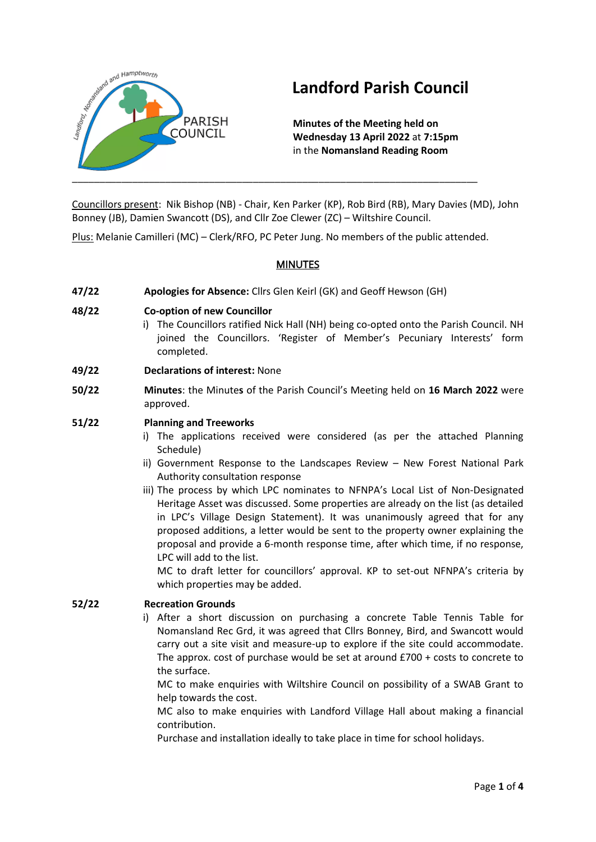

# **Landford Parish Council**

**Minutes of the Meeting held on Wednesday 13 April 2022** at **7:15pm** in the **Nomansland Reading Room** 

Councillors present: Nik Bishop (NB) - Chair, Ken Parker (KP), Rob Bird (RB), Mary Davies (MD), John Bonney (JB), Damien Swancott (DS), and Cllr Zoe Clewer (ZC) – Wiltshire Council.

Plus: Melanie Camilleri (MC) – Clerk/RFO, PC Peter Jung. No members of the public attended.

# **MINUTES**

**47/22 Apologies for Absence:** Cllrs Glen Keirl (GK) and Geoff Hewson (GH)

#### **48/22 Co-option of new Councillor**

- i) The Councillors ratified Nick Hall (NH) being co-opted onto the Parish Council. NH joined the Councillors. 'Register of Member's Pecuniary Interests' form completed.
- **49/22 Declarations of interest:** None
- **50/22 Minutes**: the Minute**s** of the Parish Council's Meeting held on **16 March 2022** were approved.

#### **51/22 Planning and Treeworks**

- i) The applications received were considered (as per the attached Planning Schedule)
- ii) Government Response to the Landscapes Review New Forest National Park Authority consultation response
- iii) The process by which LPC nominates to NFNPA's Local List of Non-Designated Heritage Asset was discussed. Some properties are already on the list (as detailed in LPC's Village Design Statement). It was unanimously agreed that for any proposed additions, a letter would be sent to the property owner explaining the proposal and provide a 6-month response time, after which time, if no response, LPC will add to the list.

MC to draft letter for councillors' approval. KP to set-out NFNPA's criteria by which properties may be added.

# **52/22 Recreation Grounds**

i) After a short discussion on purchasing a concrete Table Tennis Table for Nomansland Rec Grd, it was agreed that Cllrs Bonney, Bird, and Swancott would carry out a site visit and measure-up to explore if the site could accommodate. The approx. cost of purchase would be set at around £700 + costs to concrete to the surface.

MC to make enquiries with Wiltshire Council on possibility of a SWAB Grant to help towards the cost.

MC also to make enquiries with Landford Village Hall about making a financial contribution.

Purchase and installation ideally to take place in time for school holidays.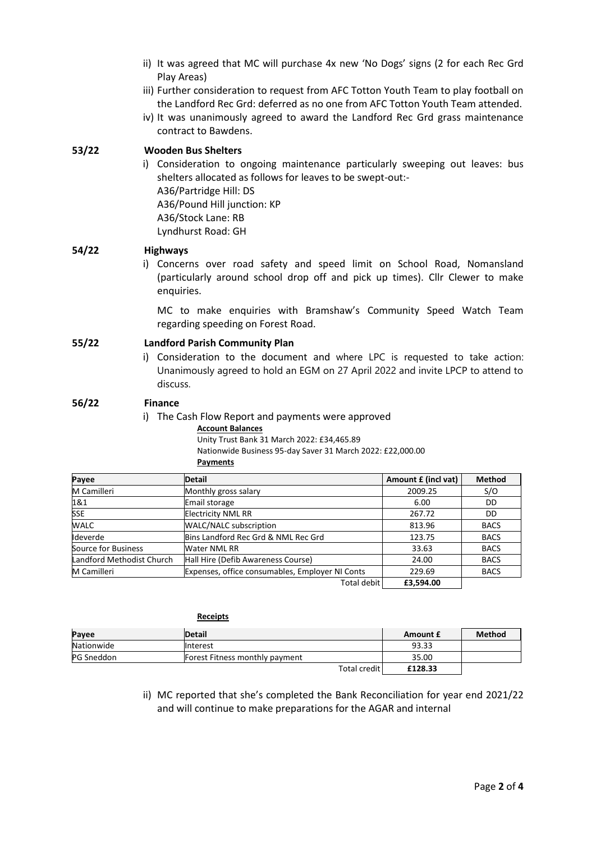- ii) It was agreed that MC will purchase 4x new 'No Dogs' signs (2 for each Rec Grd Play Areas)
- iii) Further consideration to request from AFC Totton Youth Team to play football on the Landford Rec Grd: deferred as no one from AFC Totton Youth Team attended.
- iv) It was unanimously agreed to award the Landford Rec Grd grass maintenance contract to Bawdens.

#### **53/22 Wooden Bus Shelters**

i) Consideration to ongoing maintenance particularly sweeping out leaves: bus shelters allocated as follows for leaves to be swept-out:- A36/Partridge Hill: DS A36/Pound Hill junction: KP A36/Stock Lane: RB Lyndhurst Road: GH

#### **54/22 Highways**

i) Concerns over road safety and speed limit on School Road, Nomansland (particularly around school drop off and pick up times). Cllr Clewer to make enquiries.

MC to make enquiries with Bramshaw's Community Speed Watch Team regarding speeding on Forest Road.

#### **55/22 Landford Parish Community Plan**

i) Consideration to the document and where LPC is requested to take action: Unanimously agreed to hold an EGM on 27 April 2022 and invite LPCP to attend to discuss.

#### **56/22 Finance**

i) The Cash Flow Report and payments were approved

#### **Account Balances**

Unity Trust Bank 31 March 2022: £34,465.89 Nationwide Business 95-day Saver 31 March 2022: £22,000.00 **Payments**

| Payee                     | <b>Detail</b>                                   | Amount £ (incl vat) | <b>Method</b> |
|---------------------------|-------------------------------------------------|---------------------|---------------|
| M Camilleri               | Monthly gross salary                            | 2009.25             | S/O           |
| 1&1                       | Email storage                                   | 6.00                | DD            |
| <b>SSE</b>                | <b>Electricity NML RR</b>                       | 267.72              | DD            |
| <b>WALC</b>               | <b>WALC/NALC subscription</b>                   | 813.96              | <b>BACS</b>   |
| Ideverde                  | Bins Landford Rec Grd & NML Rec Grd             | 123.75              | <b>BACS</b>   |
| Source for Business       | Water NML RR                                    | 33.63               | <b>BACS</b>   |
| Landford Methodist Church | Hall Hire (Defib Awareness Course)              | 24.00               | <b>BACS</b>   |
| M Camilleri               | Expenses, office consumables, Employer NI Conts | 229.69              | <b>BACS</b>   |
|                           | Total debit                                     | £3,594.00           |               |

| <b>Receipts</b> |                                |              |          |               |
|-----------------|--------------------------------|--------------|----------|---------------|
| Payee           | <b>Detail</b>                  |              | Amount £ | <b>Method</b> |
| Nationwide      | Interest                       |              | 93.33    |               |
| PG Sneddon      | Forest Fitness monthly payment |              | 35.00    |               |
|                 |                                | Total credit | £128.33  |               |

ii) MC reported that she's completed the Bank Reconciliation for year end 2021/22 and will continue to make preparations for the AGAR and internal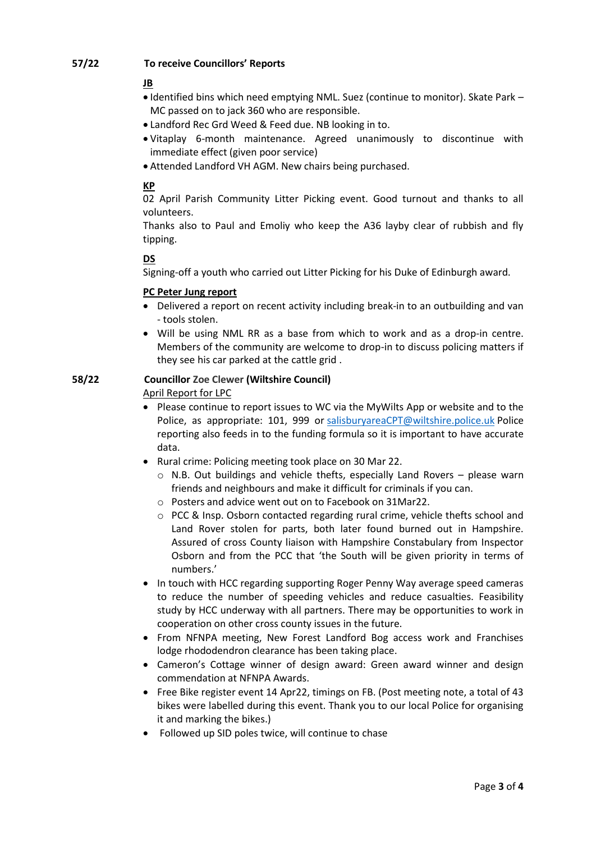# **57/22 To receive Councillors' Reports**

# **JB**

- Identified bins which need emptying NML. Suez (continue to monitor). Skate Park MC passed on to jack 360 who are responsible.
- Landford Rec Grd Weed & Feed due. NB looking in to.
- Vitaplay 6-month maintenance. Agreed unanimously to discontinue with immediate effect (given poor service)
- Attended Landford VH AGM. New chairs being purchased.

# **KP**

02 April Parish Community Litter Picking event. Good turnout and thanks to all volunteers.

Thanks also to Paul and Emoliy who keep the A36 layby clear of rubbish and fly tipping.

# **DS**

Signing-off a youth who carried out Litter Picking for his Duke of Edinburgh award.

#### **PC Peter Jung report**

- Delivered a report on recent activity including break-in to an outbuilding and van - tools stolen.
- Will be using NML RR as a base from which to work and as a drop-in centre. Members of the community are welcome to drop-in to discuss policing matters if they see his car parked at the cattle grid .

#### **58/22 Councillor Zoe Clewer (Wiltshire Council)**

April Report for LPC

- Please continue to report issues to WC via the MyWilts App or website and to the Police, as appropriate: 101, 999 or [salisburyareaCPT@wiltshire.police.uk](mailto:salisburyareaCPT@wiltshire.police.uk) Police reporting also feeds in to the funding formula so it is important to have accurate data.
- Rural crime: Policing meeting took place on 30 Mar 22.
	- o N.B. Out buildings and vehicle thefts, especially Land Rovers please warn friends and neighbours and make it difficult for criminals if you can.
	- o Posters and advice went out on to Facebook on 31Mar22.
	- $\circ$  PCC & Insp. Osborn contacted regarding rural crime, vehicle thefts school and Land Rover stolen for parts, both later found burned out in Hampshire. Assured of cross County liaison with Hampshire Constabulary from Inspector Osborn and from the PCC that 'the South will be given priority in terms of numbers.'
- In touch with HCC regarding supporting Roger Penny Way average speed cameras to reduce the number of speeding vehicles and reduce casualties. Feasibility study by HCC underway with all partners. There may be opportunities to work in cooperation on other cross county issues in the future.
- From NFNPA meeting, New Forest Landford Bog access work and Franchises lodge rhododendron clearance has been taking place.
- Cameron's Cottage winner of design award: Green award winner and design commendation at NFNPA Awards.
- Free Bike register event 14 Apr22, timings on FB. (Post meeting note, a total of 43 bikes were labelled during this event. Thank you to our local Police for organising it and marking the bikes.)
- Followed up SID poles twice, will continue to chase